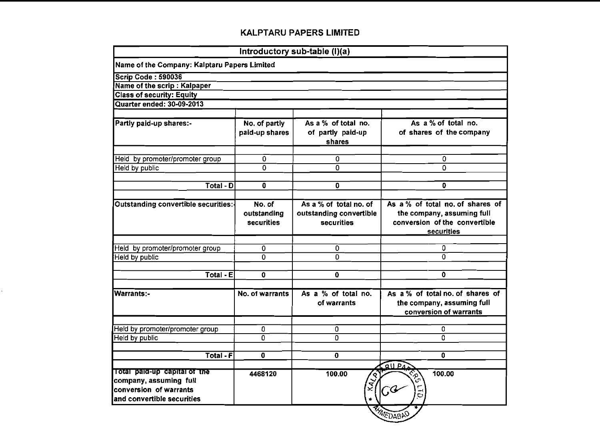| Name of the Company: Kalptaru Papers Limited                                |                                                                 |                                                                                                               |
|-----------------------------------------------------------------------------|-----------------------------------------------------------------|---------------------------------------------------------------------------------------------------------------|
|                                                                             |                                                                 |                                                                                                               |
|                                                                             |                                                                 |                                                                                                               |
|                                                                             |                                                                 |                                                                                                               |
|                                                                             |                                                                 |                                                                                                               |
| No. of partly<br>paid-up shares                                             | As a % of total no.<br>of partly paid-up<br>shares              | As a % of total no.<br>of shares of the company                                                               |
| $\mathbf 0$                                                                 | 0                                                               | 0                                                                                                             |
| 0                                                                           | Ō                                                               | 0                                                                                                             |
| 0                                                                           | $\overline{\mathbf{0}}$                                         | 0                                                                                                             |
| Outstanding convertible securities:-<br>No. of<br>outstanding<br>securities | As a % of total no. of<br>outstanding convertible<br>securities | As a % of total no. of shares of<br>the company, assuming full<br>conversion of the convertible<br>securities |
|                                                                             |                                                                 | 0                                                                                                             |
| 0                                                                           | 0                                                               | 0                                                                                                             |
|                                                                             |                                                                 | 0                                                                                                             |
|                                                                             |                                                                 |                                                                                                               |
| No. of warrants                                                             | of warrants                                                     | As a % of total no. of shares of<br>the company, assuming full<br>conversion of warrants                      |
|                                                                             |                                                                 | 0                                                                                                             |
| $\overline{0}$                                                              | 0                                                               | 0                                                                                                             |
| 0                                                                           | $\mathbf 0$                                                     | 0                                                                                                             |
|                                                                             |                                                                 | OUPA                                                                                                          |
| 4468120                                                                     | 100.00<br>$\star$                                               | रु<br>कु<br>100.00<br>G<br>$\vec{c}$                                                                          |
|                                                                             | 0<br>$\mathbf 0$<br>0                                           | Introductory sub-table (I)(a)<br>0<br>$\mathbf 0$<br>As a % of total no.<br>0<br><b>RESEAR</b>                |

 $\mathbf{v}^{(i)}$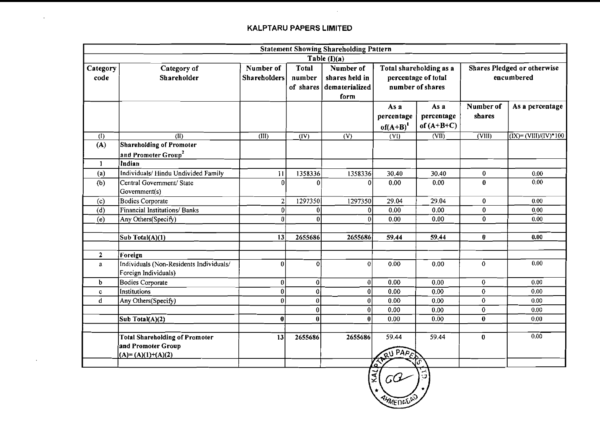$\sim 10^{-11}$ 

 $\mathcal{L}^{\text{max}}_{\text{max}}$  , where  $\mathcal{L}^{\text{max}}_{\text{max}}$ 

|                           |                                                                                    |                                  |                   | <b>Statement Showing Shareholding Pattern</b><br>Table $(I)(a)$    |                                                                    |                                    |                                           |                                         |
|---------------------------|------------------------------------------------------------------------------------|----------------------------------|-------------------|--------------------------------------------------------------------|--------------------------------------------------------------------|------------------------------------|-------------------------------------------|-----------------------------------------|
| Category<br>code          | Category of<br>Shareholder                                                         | Number of<br><b>Shareholders</b> |                   | Number of<br>shares held in<br>dematerialized<br>of shares<br>form | Total shareholding as a<br>percentage of total<br>number of shares |                                    | Shares Pledged or otherwise<br>encumbered |                                         |
|                           |                                                                                    |                                  |                   |                                                                    | As a<br>percentage<br>of $(A+B)^{1}$                               | As a<br>percentage<br>of $(A+B+C)$ | Number of<br>shares                       | As a percentage                         |
| $\overline{(\mathbf{l})}$ | (II)                                                                               | (III)                            | $\overline{(IV)}$ | $\overline{(V)}$                                                   | (VI)                                                               | (VII)                              | $\overline{\text{(VIII)}}$                | $\sqrt{(IX)} = (\frac{VIII}{VIV})^*100$ |
| (A)                       | <b>Shareholding of Promoter</b><br>and Promoter Group <sup>2</sup>                 |                                  |                   |                                                                    |                                                                    |                                    |                                           |                                         |
| $\mathbf{1}$              | Indian                                                                             |                                  |                   |                                                                    |                                                                    |                                    |                                           |                                         |
| (a)                       | Individuals/Hindu Undivided Family                                                 | $\overline{11}$                  | 1358336           | 1358336                                                            | 30.40                                                              | 30.40                              | $\boldsymbol{0}$                          | 0.00                                    |
| (b)                       | Central Government/ State<br>Government(s)                                         | $\theta$                         | 0                 | $\overline{0}$                                                     | 0.00                                                               | 0.00                               | $\bf{0}$                                  | 0.00                                    |
| (c)                       | Bodies Corporate                                                                   | $\overline{2}$                   | 1297350           | 1297350                                                            | 29.04                                                              | 29.04                              | $\mathbf{0}$                              | 0.00                                    |
| (d)                       | Financial Institutions/Banks                                                       | $\mathbf{0}$                     | $\bf{0}$          | 0                                                                  | 0.00                                                               | 0.00                               | $\mathbf 0$                               | 0.00                                    |
| (e)                       | Any Others(Specify)                                                                | $\boldsymbol{0}$                 | $\Omega$          | 0                                                                  | 0.00                                                               | 0.00                               | $\overline{\mathbf{0}}$                   | 0.00                                    |
|                           | Sub Total(A)(1)                                                                    | 13                               | 2655686           | 2655686                                                            | 59.44                                                              | 59.44                              | $\mathbf{0}$                              | 0.00                                    |
| $\mathbf{2}$              | Foreign                                                                            |                                  |                   |                                                                    |                                                                    |                                    |                                           |                                         |
| $\mathbf{a}$              | Individuals (Non-Residents Individuals/<br>Foreign Individuals)                    | $\mathbf{0}$                     | $\bf{0}$          | $\theta$                                                           | 0.00                                                               | 0.00                               | $\mathbf{0}$                              | 0.00                                    |
| $\mathbf b$               | <b>Bodies Corporate</b>                                                            | 0                                | 0                 | 0                                                                  | 0.00                                                               | 0.00                               | $\mathbf{0}$                              | 0.00                                    |
| $\mathbf{c}$              | <b>Institutions</b>                                                                | 0                                | $\mathbf{0}$      | 0                                                                  | 0.00                                                               | 0.00                               | $\overline{0}$                            | 0.00                                    |
| $\mathbf d$               | Any Others(Specify)                                                                | 0                                | $\overline{0}$    | 0                                                                  | 0.00                                                               | 0.00                               | $\mathbf{0}$                              | 0.00                                    |
|                           |                                                                                    |                                  | $\overline{0}$    | 0                                                                  | 0.00                                                               | 0.00                               | $\mathbf{0}$                              | 0.00                                    |
|                           | Sub Total(A)(2)                                                                    | $\bf{0}$                         | $\bf{0}$          | $\mathbf{0}$                                                       | 0.00                                                               | 0.00                               | $\mathbf{0}$                              | 0.00                                    |
|                           | <b>Total Shareholding of Promoter</b><br>and Promoter Group<br>$(A)=(A)(1)+(A)(2)$ | 13                               | 2655686           | 2655686                                                            | 59.44<br>QU PAPER                                                  | 59.44                              | $\bf{0}$                                  | 0.00                                    |

 $|z|$  GCL ∃⇔ **AHMENGO**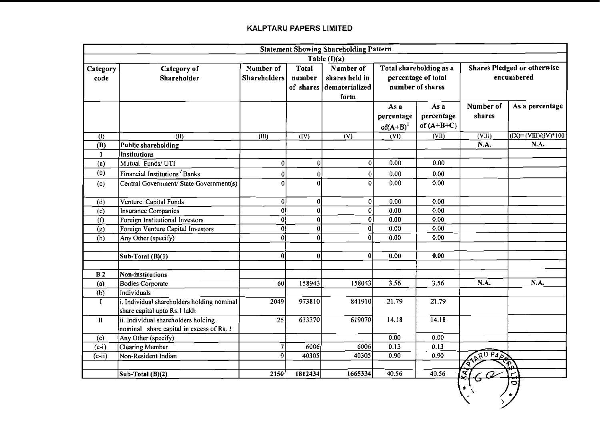|                           | <b>Statement Showing Shareholding Pattern</b>                              |                                  |                        |                             |                |                                                |                            |                                                  |  |  |  |
|---------------------------|----------------------------------------------------------------------------|----------------------------------|------------------------|-----------------------------|----------------|------------------------------------------------|----------------------------|--------------------------------------------------|--|--|--|
|                           |                                                                            |                                  |                        | Table $(I)(a)$              |                |                                                |                            |                                                  |  |  |  |
| Category<br>code          | Category of<br>Shareholder                                                 | Number of<br><b>Shareholders</b> | <b>Total</b><br>number | Number of<br>shares held in |                | Total shareholding as a<br>percentage of total |                            | <b>Shares Pledged or otherwise</b><br>encumbered |  |  |  |
|                           |                                                                            |                                  |                        | of shares dematerialized    |                | number of shares                               |                            |                                                  |  |  |  |
|                           |                                                                            |                                  |                        | form                        |                |                                                |                            |                                                  |  |  |  |
|                           |                                                                            |                                  |                        |                             | As a           | As a                                           | Number of                  | As a percentage                                  |  |  |  |
|                           |                                                                            |                                  |                        |                             | percentage     | percentage                                     | shares                     |                                                  |  |  |  |
|                           |                                                                            |                                  |                        |                             | $of (A+B)^{1}$ | of $(A+B+C)$                                   |                            |                                                  |  |  |  |
| $\overline{(\mathbf{I})}$ | (II)                                                                       | (III)                            | $\overline{(IV)}$      | $\overline{(V)}$            | (VI)           | (VII)                                          | $\overline{\text{(VIII)}}$ | $\overline{(IX)} = (VIII)/(IV)^*100$             |  |  |  |
| (B)                       | <b>Public shareholding</b>                                                 |                                  |                        |                             |                |                                                | N.A.                       | N.A.                                             |  |  |  |
| 1                         | <b>Institutions</b>                                                        |                                  |                        |                             |                |                                                |                            |                                                  |  |  |  |
| (a)                       | Mutual Funds/UTI                                                           | $\mathbf{0}$                     | $\boldsymbol{0}$       | 0                           | 0.00           | 0.00                                           |                            |                                                  |  |  |  |
| (b)                       | Financial Institutions Banks                                               | 0                                | $\boldsymbol{0}$       | 0                           | 0.00           | 0.00                                           |                            |                                                  |  |  |  |
| (c)                       | Central Government/ State Government(s)                                    | $\theta$                         | Ωl                     | $\overline{0}$              | 0.00           | 0.00                                           |                            |                                                  |  |  |  |
|                           |                                                                            |                                  |                        |                             |                |                                                |                            |                                                  |  |  |  |
| (d)                       | Venture Capital Funds                                                      | $\overline{0}$                   | 0                      | 0                           | 0.00           | 0.00                                           |                            |                                                  |  |  |  |
| (e)                       | <b>Insurance Companies</b>                                                 | 0İ                               | $\overline{0}$         | $\overline{0}$              | 0.00           | 0.00                                           |                            |                                                  |  |  |  |
| $\overline{(\textbf{f})}$ | Foreign Institutional Investors                                            | 0                                | 0                      | $\overline{0}$              | 0.00           | $\overline{0.00}$                              |                            |                                                  |  |  |  |
| (g)                       | Foreign Venture Capital Investors                                          | $\overline{0}$                   | 0                      | $\bf{0}$                    | 0.00           | 0.00                                           |                            |                                                  |  |  |  |
| (h)                       | Any Other (specify)                                                        | $\Omega$                         | 0                      | $\bf{0}$                    | 0.00           | 0.00                                           |                            |                                                  |  |  |  |
|                           |                                                                            |                                  |                        |                             |                |                                                |                            |                                                  |  |  |  |
|                           | Sub-Total (B)(1)                                                           | $\theta$                         | 0                      | $\bf{0}$                    | 0.00           | 0.00                                           |                            |                                                  |  |  |  |
|                           |                                                                            |                                  |                        |                             |                |                                                |                            |                                                  |  |  |  |
| B <sub>2</sub>            | Non-institutions                                                           |                                  |                        |                             |                |                                                |                            |                                                  |  |  |  |
| (a)                       | <b>Bodies Corporate</b>                                                    | 60                               | 158943                 | 158043                      | 3.56           | 3.56                                           | N.A.                       | N.A.                                             |  |  |  |
| (b)                       | Individuals                                                                |                                  |                        |                             |                |                                                |                            |                                                  |  |  |  |
| I                         | i. Individual shareholders holding nominal<br>share capital upto Rs.1 lakh | 2049                             | 973810                 | 841910                      | 21.79          | 21.79                                          |                            |                                                  |  |  |  |
| П                         | ii. Individual shareholders holding                                        | 25                               | 633370                 | 619070                      | 14.18          | 14.18                                          |                            |                                                  |  |  |  |
|                           | nominal share capital in excess of Rs. 1                                   |                                  |                        |                             |                |                                                |                            |                                                  |  |  |  |
| (c)                       | Any Other (specify)                                                        |                                  |                        |                             | 0.00           | 0.00                                           |                            |                                                  |  |  |  |
| $(c-i)$                   | <b>Clearing Member</b>                                                     | 7                                | 6006                   | 6006                        | 0.13           | 0.13                                           |                            |                                                  |  |  |  |
| $(c-i)$                   | Non-Resident Indian                                                        | 9                                | 40305                  | 40305                       | 0.90           | 0.90                                           |                            |                                                  |  |  |  |
|                           |                                                                            |                                  |                        |                             |                |                                                | RU PART<br>'o              |                                                  |  |  |  |
|                           | Sub-Total (B)(2)                                                           | 2150                             | 1812434                | 1665334                     | 40.56          | 40.56                                          | ₹                          | ٣                                                |  |  |  |

 $\frac{1}{\sqrt{2}}$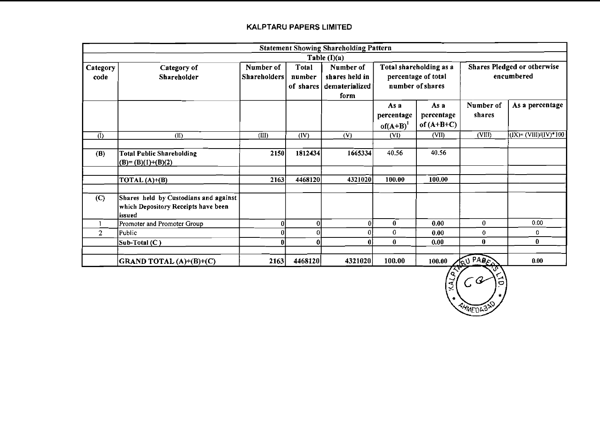|                           |                                                                                        |                                  |                        | <b>Statement Showing Shareholding Pattern</b>                   |                                                                    |                                    |                     |                                                  |
|---------------------------|----------------------------------------------------------------------------------------|----------------------------------|------------------------|-----------------------------------------------------------------|--------------------------------------------------------------------|------------------------------------|---------------------|--------------------------------------------------|
|                           |                                                                                        |                                  |                        | Table $(I)(a)$                                                  |                                                                    |                                    |                     |                                                  |
| Category<br>code          | Category of<br>Shareholder                                                             | Number of<br><b>Shareholders</b> | <b>Total</b><br>number | Number of<br>shares held in<br>of shares dematerialized<br>form | Total shareholding as a<br>percentage of total<br>number of shares |                                    |                     | <b>Shares Pledged or otherwise</b><br>encumbered |
|                           |                                                                                        |                                  |                        |                                                                 | As a<br>percentage<br>$of(A+B)^{1}$                                | As a<br>percentage<br>of $(A+B+C)$ | Number of<br>shares | As a percentage                                  |
| $\overline{(\mathbf{l})}$ | (II)                                                                                   | $\overline{\text{(III)}}$        | (IV)                   | $\overline{(\mathsf{V})}$                                       | (VI)                                                               | (VII)                              | (VIII)              | $(IX) = (VIII)/(IV)*100$                         |
| (B)                       | <b>Total Public Shareholding</b><br>$(B)=(B)(1)+(B)(2)$                                | 2150                             | 1812434                | 1665334                                                         | 40.56                                                              | 40.56                              |                     |                                                  |
|                           | TOTAL $(A)+(B)$                                                                        | 2163                             | 4468120                | 4321020                                                         | 100.00                                                             | 100.00                             |                     |                                                  |
| (C)                       | Shares held by Custodians and against<br>which Depository Receipts have been<br>issued |                                  |                        |                                                                 |                                                                    |                                    |                     |                                                  |
|                           | Promoter and Promoter Group                                                            |                                  | 0                      | $\boldsymbol{0}$                                                | $\bf{0}$                                                           | 0.00                               | $\bf{0}$            | 0.00                                             |
| $\overline{2}$            | Public                                                                                 |                                  | 0                      | $\Omega$                                                        | $\bf 0$                                                            | 0.00                               | 0                   | 0                                                |
|                           | Sub-Total (C)                                                                          |                                  | 0                      | $\mathbf{0}$                                                    | $\bf{0}$                                                           | 0.00                               | 0                   | $\bf{0}$                                         |
|                           | GRAND TOTAL (A)+(B)+(C)                                                                | 2163                             | 4468120                | 4321020                                                         | 100.00                                                             | 100.00                             | RU PADES            | 0.00                                             |

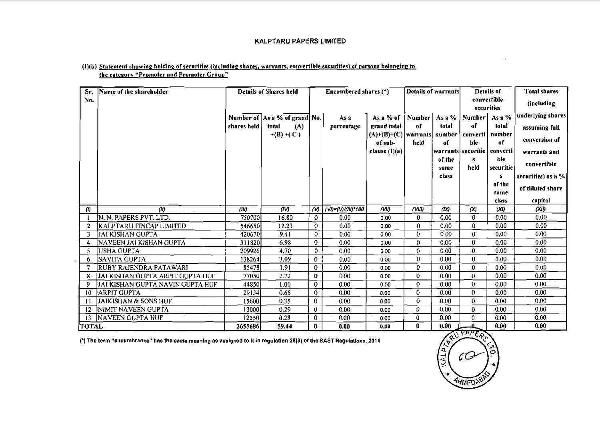#### (1)(b) Statement showing holding of securities (including shares, warrants, convertible securities) of persons belonging to the category "Promoter and Promoter Group"

| Sr.          | Name of the shareholder           |             | <b>Details of Shares held</b>         |              | Encumbered shares (*) |                               |              | Details of warrants | <b>Details of</b>              |                   | <b>Total shares</b>        |
|--------------|-----------------------------------|-------------|---------------------------------------|--------------|-----------------------|-------------------------------|--------------|---------------------|--------------------------------|-------------------|----------------------------|
| No.          |                                   |             |                                       |              |                       |                               |              |                     | convertible<br>securities      |                   | (including                 |
|              |                                   |             | Number of $\vert$ As a % of grand No. |              | As a                  | As a $%$ of                   | Number       | Asa%                | Number                         | As a $%$          | underlying shares          |
|              |                                   | shares held | total<br>(A)                          |              | percentage            | grand total                   | of           | total               | of                             | total             | assuming full              |
|              |                                   |             | $+(B)+(C)$                            |              |                       | $(A)+(B)+(C)$ warrants number |              |                     |                                | converti   number | conversion of              |
|              |                                   |             |                                       |              |                       | of sub-                       | held         | of                  | ble                            | of                |                            |
|              |                                   |             |                                       |              |                       | clause $(I)(a)$               |              | of the              | warrants  securitie   converti | ble               | warrants and               |
|              |                                   |             |                                       |              |                       |                               |              | same                | s<br>held                      | securitie         | convertible                |
|              |                                   |             |                                       |              |                       |                               |              | class               |                                | s                 | securities) as a %         |
|              |                                   |             |                                       |              |                       |                               |              |                     |                                | of the            | of diluted share           |
|              |                                   |             |                                       |              |                       |                               |              |                     |                                | same              |                            |
|              | (11)                              | (III)       | (IV)                                  | $\omega$     | (VI)=(V)/(III)*100    | $($ VIII                      | (VIII)       | (X)                 | $\infty$                       | class<br>(XI)     | capital<br>$(X \parallel)$ |
| $\theta$     | N. N. PAPERS PVT. LTD.            | 750700      | 16.80                                 | $\mathbf{0}$ | 0.00                  | 0.00                          | 0            | 0.00                | 0                              | 0.00              | 0.00                       |
| 2            | KALPTARU FINCAP LIMITED           | 546650      | 12.23                                 | $\mathbf 0$  | 0.00                  | 0.00                          | $\theta$     | 0.00                | $\mathbf{0}$                   | 0.00              | 0.00                       |
| 3            | IJAI KISHAN GUPTA                 | 420670      | 9.41                                  | $\mathbf 0$  | 0.00                  | 0.00                          | 0            | 0.00                | $\bf{0}$                       | 0.00              | 0.00                       |
| 4            | NAVEEN JAI KISHAN GUPTA           | 311820      | 6.98                                  | $\bf{0}$     | 0.00                  | 0.00                          | $\mathbf{0}$ | 0.00                | $\bf{0}$                       | 0.00              | 0.00                       |
| -5           | lusha gupta                       | 209920      | 4.70                                  | 0            | 0.00                  | 0.00                          | 0            | 0.00                | $\bf{0}$                       | 0.00              | 0.00                       |
| 6            | ISAVITA GUPTA                     | 138264      | 3.09                                  | $\mathbf 0$  | 0.00                  | 0.00                          | $\mathbf{0}$ | 0.00                | $\bf{0}$                       | 0.00              | 0.00                       |
|              | RUBY RAJENDRA PATAWARI            | 85478       | 1.91                                  | $\mathbf{0}$ | 0.00                  | 0.00                          | 0            | 0.00                | 0                              | 0.00              | 0.00                       |
| 8            | IJAI KISHAN GUPTA ARPIT GUPTA HUF | 77050       | 1.72                                  | $\mathbf{0}$ | 0.00                  | 0.00                          | 0            | 0.00                | $\mathbf{0}$                   | 0.00              | 0.00                       |
| 9            | JAI KISHAN GUPTA NAVIN GUPTA HUF  | 44850       | 1.00                                  | $\mathbf 0$  | 0.00                  | 0.00                          | 0            | 0.00                | $\mathbf{0}$                   | 0.00              | 0.00                       |
| -10          | ARPIT GUPTA                       | 29134       | 0.65                                  | 0            | 0.00                  | 0.00                          | 0.           | 0.00                | $\mathbf{0}$                   | 0.00              | 0.00                       |
| -11          | JAIKISHAN & SONS HUF              | 15600       | 0.35                                  | $\mathbf 0$  | 0.00                  | 0.00                          | 0            | 0.00                | $\mathbf{0}$                   | 0.00              | 0.00                       |
| 12           | NIMIT NAVEEN GUPTA                | 13000       | 0.29                                  | $\mathbf{0}$ | 0.00                  | 0.00                          | 0            | 0.00                | $\bf{0}$                       | 0.00              | 0.00                       |
| 13           | <b>NAVEEN GUPTA HUF</b>           | 12550       | 0.28                                  | $\bf{0}$     | 0.00                  | 0.00                          | $\mathbf 0$  | 0.00                | $\bf{0}$                       | 0.00              | 0.00                       |
| <b>TOTAL</b> |                                   | 2655686     | 59.44                                 | $\mathbf{0}$ | 0.00                  | 0.00                          | 0            | 0.00                | ≏                              | 0.00              | 0.00                       |

(\*) The term "encumbrance" has the same meaning as assigned to it in regulation 28(3) of the SAST Regulations, 2011



 $\overline{1}$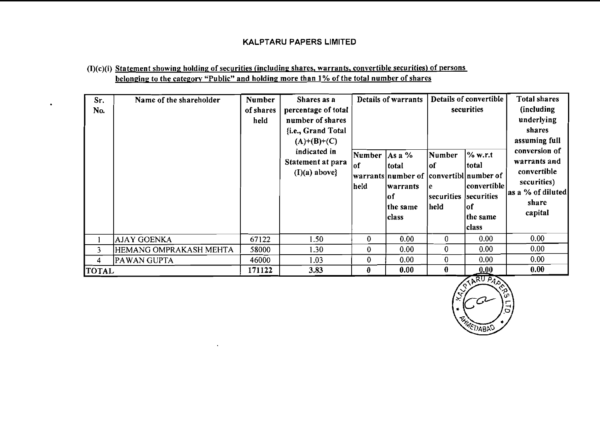# (I)(c)(i) Statement showing holding of securities (including shares, warrants, convertible securities) of persons belonging to the category "Public" and holding more than 1% of the total number of shares

 $\mathbf{v}$ 

 $\bullet$ 

| Sr.<br>No.   | Name of the shareholder | <b>Number</b><br>of shares<br>held | Shares as a<br>percentage of total<br>number of shares<br>{i.e., Grand Total<br>$(A)+(B)+(C)$<br>indicated in<br>Statement at para<br>$(I)(a)$ above} | Number<br>lof<br>held | Details of warrants<br>As a $%$<br>total<br> warrants number of  convertibl number of<br> warrants <br>lof<br>the same<br><b>class</b> | Number<br> of<br>le.<br>securities<br>held | Details of convertible<br>securities<br>$\%$ w.r.t<br> total<br> convertible <br>securities<br>lof<br>the same<br>lclass | <b>Total shares</b><br>(including)<br>underlying<br>shares<br>assuming full<br>conversion of<br>warrants and<br>convertible<br>securities)<br>as a % of diluted<br>share<br>capital |
|--------------|-------------------------|------------------------------------|-------------------------------------------------------------------------------------------------------------------------------------------------------|-----------------------|----------------------------------------------------------------------------------------------------------------------------------------|--------------------------------------------|--------------------------------------------------------------------------------------------------------------------------|-------------------------------------------------------------------------------------------------------------------------------------------------------------------------------------|
|              | AJAY GOENKA             | 67122                              | 1.50                                                                                                                                                  | 0                     | 0.00                                                                                                                                   | $\bf{0}$                                   | 0.00                                                                                                                     | 0.00                                                                                                                                                                                |
| 3            | HEMANG OMPRAKASH MEHTA  | 58000                              | 1.30                                                                                                                                                  | 0                     | 0.00                                                                                                                                   | $\mathbf 0$                                | 0.00                                                                                                                     | 0.00                                                                                                                                                                                |
| 4            | PAWAN GUPTA             | 46000                              | 1.03                                                                                                                                                  | 0                     | 0.00                                                                                                                                   | $\mathbf 0$                                | 0.00                                                                                                                     | 0.00                                                                                                                                                                                |
| <b>TOTAL</b> |                         | 171122                             | 3.83                                                                                                                                                  | 0                     | 0.00                                                                                                                                   | $\mathbf{0}$                               | 0.00                                                                                                                     | 0.00                                                                                                                                                                                |

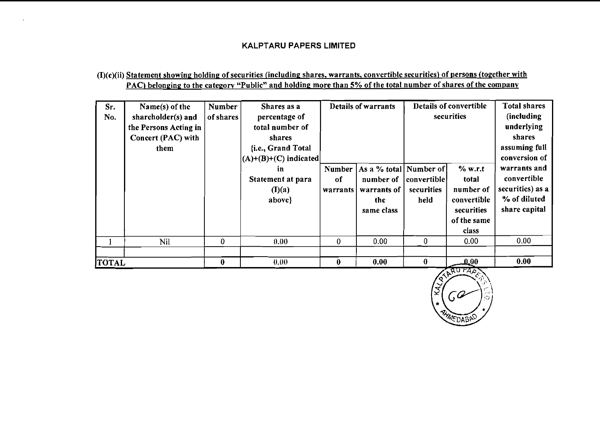# (I)(c)(ii) Statement showing holding of securities (including shares, warrants, convertible securities) of persons (together with PAC) belonging to the category "Public" and holding more than 5% of the total number of shares of the company

| Sr.<br>No.   | Name(s) of the<br>shareholder(s) and<br>the Persons Acting in<br>Concert (PAC) with<br>them | <b>Number</b><br>of shares | Shares as a<br>percentage of<br>total number of<br>shares<br>{i.e., Grand Total<br>$ (A)+(B)+(C)$ indicated | Details of warrants      |                                                                         |                                   | Details of convertible<br>securities                                               | <b>Total shares</b><br>(including<br>underlying<br>shares<br>assuming full<br>conversion of |
|--------------|---------------------------------------------------------------------------------------------|----------------------------|-------------------------------------------------------------------------------------------------------------|--------------------------|-------------------------------------------------------------------------|-----------------------------------|------------------------------------------------------------------------------------|---------------------------------------------------------------------------------------------|
|              |                                                                                             |                            | in<br>Statement at para<br>(I)(a)<br>above}                                                                 | Number<br>of<br>warrants | As a % total Number of<br>number of<br>warrants of<br>the<br>same class | convertible<br>securities<br>held | % w.r.t<br>total<br>number of<br>convertible<br>securities<br>of the same<br>class | warrants and<br>convertible<br>securities) as a<br>% of diluted<br>share capital            |
|              | Nil                                                                                         | $\mathbf{0}$               | 0.00                                                                                                        | $\bf{0}$                 | 0.00                                                                    | 0                                 | 0.00                                                                               | 0.00                                                                                        |
|              |                                                                                             |                            |                                                                                                             |                          |                                                                         |                                   |                                                                                    |                                                                                             |
| <b>TOTAL</b> |                                                                                             | $\bf{0}$                   | 0.00                                                                                                        | $\bf{0}$                 | 0.00                                                                    | $\bf{0}$                          | $\mathbf{0.00}$                                                                    | 0.00                                                                                        |

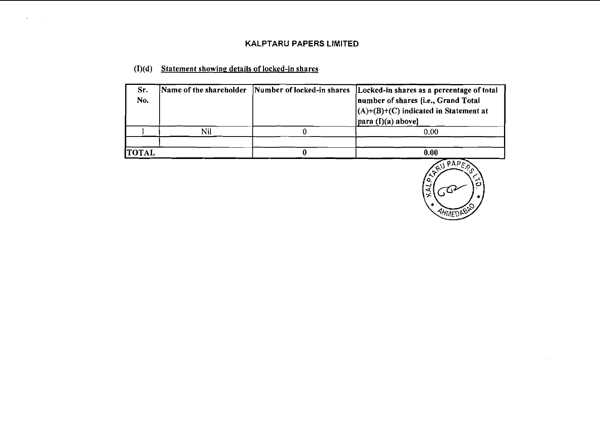## **(I)(d) Statement showine details of locked-in shares**

 $\alpha$ 

 $\ddot{\phantom{a}}$ 

| Sr.<br>No.   |     | Name of the shareholder Number of locked-in shares Locked-in shares as a percentage of total<br>number of shares {i.e., Grand Total<br>$(A)+(B)+(C)$ indicated in Statement at<br>$ para (I)(a) above\}$ |
|--------------|-----|----------------------------------------------------------------------------------------------------------------------------------------------------------------------------------------------------------|
|              | Nil | 0.00                                                                                                                                                                                                     |
|              |     |                                                                                                                                                                                                          |
| <b>TOTAL</b> |     | 0.00                                                                                                                                                                                                     |



 $\sim$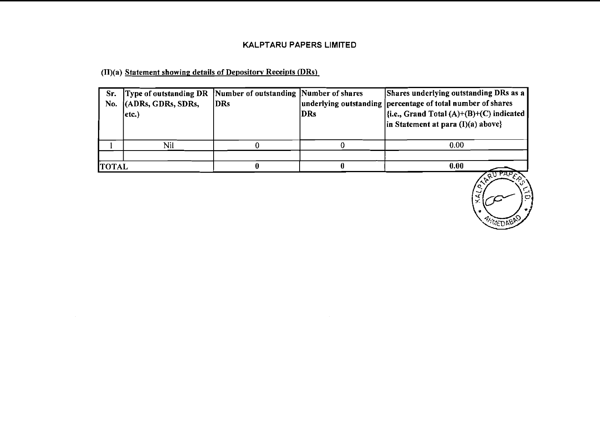(II)(a) Statement showing details of Depository Receipts (DRs).

| Sr.<br>No.   | Type of outstanding DR Number of outstanding Number of shares<br>(ADRs, GDRs, SDRs,<br>etc.) | <b>DRs</b> | DRs | Shares underlying outstanding DRs as a<br>underlying outstanding percentage of total number of shares<br>$\left  \{i.e., Grand Total (A)+(B)+(C) indicated \right  \}$<br>$\ln$ Statement at para (I)(a) above} |
|--------------|----------------------------------------------------------------------------------------------|------------|-----|-----------------------------------------------------------------------------------------------------------------------------------------------------------------------------------------------------------------|
|              | Nil                                                                                          |            |     | 0.00                                                                                                                                                                                                            |
|              |                                                                                              |            |     |                                                                                                                                                                                                                 |
| <b>TOTAL</b> |                                                                                              |            |     | 0.00                                                                                                                                                                                                            |

 $\alpha$ ural WEDRY